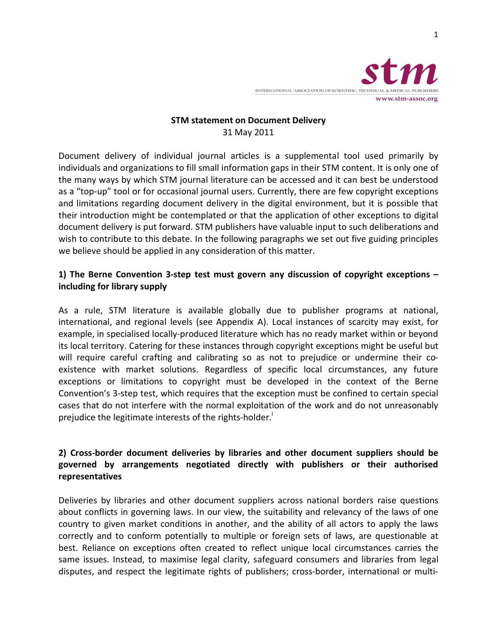

#### **STM
statement
on
Document
Delivery** 31
May
2011

Document delivery of individual journal articles is a supplemental tool used primarily by individuals and organizations to fill small information gaps in their STM content. It is only one of the
many
ways
by
which
STM
journal
literature
can
be
accessed
and
it
can
best
be
understood as a "top-up" tool or for occasional journal users. Currently, there are few copyright exceptions and limitations regarding document delivery in the digital environment, but it is possible that their introduction might be contemplated or that the application of other exceptions to digital document delivery is put forward. STM publishers have valuable input to such deliberations and wish to contribute to this debate. In the following paragraphs we set out five guiding principles we believe should be applied in any consideration of this matter.

### 1) The Berne Convention 3-step test must govern any discussion of copyright exceptions – **including
for
library
supply**

As a rule, STM literature is available globally due to publisher programs at national, international, and regional levels (see Appendix A). Local instances of scarcity may exist, for example, in specialised locally-produced literature which has no ready market within or beyond its local territory. Catering for these instances through copyright exceptions might be useful but will require careful crafting and calibrating so as not to prejudice or undermine their coexistence with market solutions. Regardless of specific local circumstances, any future exceptions or limitations to copyright must be developed in the context of the Berne Convention's 3-step test, which requires that the exception must be confined to certain special cases
that
do
not
interfere
with
the
normal
exploitation
of
the
work
and
do
not
unreasonably prejudice the legitimate interests of the rights-holder.

## 2) Cross-border document deliveries by libraries and other document suppliers should be governed by arrangements negotiated directly with publishers or their authorised **representatives**

Deliveries by libraries and other document suppliers across national borders raise questions about conflicts in governing laws. In our view, the suitability and relevancy of the laws of one country to given market conditions in another, and the ability of all actors to apply the laws correctly and to conform potentially to multiple or foreign sets of laws, are questionable at best. Reliance on exceptions often created to reflect unique local circumstances carries the same issues. Instead, to maximise legal clarity, safeguard consumers and libraries from legal disputes, and respect the legitimate rights of publishers; cross-border, international or multi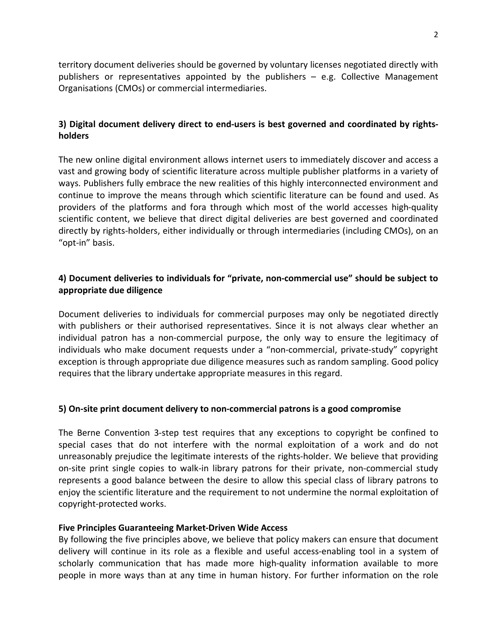territory document deliveries should be governed by voluntary licenses negotiated directly with publishers or representatives appointed by the publishers – e.g. Collective Management Organisations
(CMOs)
or
commercial
intermediaries.

### 3) Digital document delivery direct to end-users is best governed and coordinated by rights**holders**

The new online digital environment allows internet users to immediately discover and access a vast and growing body of scientific literature across multiple publisher platforms in a variety of ways. Publishers fully embrace the new realities of this highly interconnected environment and continue to improve the means through which scientific literature can be found and used. As providers of the platforms and fora through which most of the world accesses high-quality scientific content, we believe that direct digital deliveries are best governed and coordinated directly by rights-holders, either individually or through intermediaries (including CMOs), on an "opt‐in"
basis.

## 4) Document deliveries to individuals for "private, non-commercial use" should be subject to **appropriate
due
diligence**

Document deliveries to individuals for commercial purposes may only be negotiated directly with publishers or their authorised representatives. Since it is not always clear whether an individual patron has a non-commercial purpose, the only way to ensure the legitimacy of individuals who make document requests under a "non-commercial, private-study" copyright exception
is
through
appropriate
due
diligence
measures
such
as
random
sampling.
Good
policy requires that the library undertake appropriate measures in this regard.

#### **5)
On‐site
print
document
delivery
to
non‐commercial
patrons
is
a
good
compromise**

The Berne Convention 3-step test requires that any exceptions to copyright be confined to special cases that do not interfere with the normal exploitation of a work and do not unreasonably prejudice the legitimate interests of the rights-holder. We believe that providing on-site print single copies to walk-in library patrons for their private, non-commercial study represents a good balance between the desire to allow this special class of library patrons to enjoy the scientific literature and the requirement to not undermine the normal exploitation of copyright‐protected
works.

#### **Five
Principles
Guaranteeing
Market‐Driven
Wide
Access**

By following the five principles above, we believe that policy makers can ensure that document delivery will continue in its role as a flexible and useful access-enabling tool in a system of scholarly communication that has made more high-quality information available to more people in more ways than at any time in human history. For further information on the role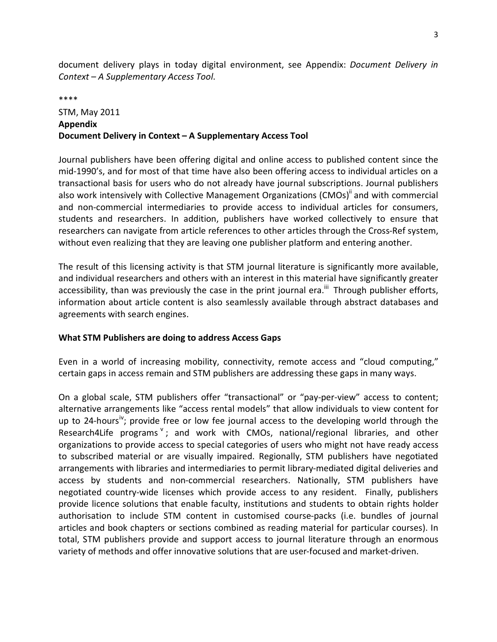document delivery plays in today digital environment, see Appendix: *Document Delivery in Context
–
A
Supplementary
Access
Tool*.

\*\*\*\*

# STM,
May
2011 **Appendix Document
Delivery
in
Context
–
A
Supplementary
Access
Tool**

Journal publishers have been offering digital and online access to published content since the mid-1990's, and for most of that time have also been offering access to individual articles on a transactional
basis
for
users
who
do
not
already
have
journal
subscriptions.
Journal
publishers also work intensively with Collective Management Organizations (CMOs)<sup>ii</sup> and with commercial and non-commercial intermediaries to provide access to individual articles for consumers, students and researchers. In addition, publishers have worked collectively to ensure that researchers can navigate from article references to other articles through the Cross-Ref system, without even realizing that they are leaving one publisher platform and entering another.

The result of this licensing activity is that STM journal literature is significantly more available, and individual researchers and others with an interest in this material have significantly greater accessibility, than was previously the case in the print journal era.<sup>iii</sup> Through publisher efforts, information about article content is also seamlessly available through abstract databases and agreements
with
search
engines.

#### **What
STM
Publishers
are
doing
to
address
Access
Gaps**

Even in a world of increasing mobility, connectivity, remote access and "cloud computing," certain gaps in access remain and STM publishers are addressing these gaps in many ways.

On a global scale, STM publishers offer "transactional" or "pay-per-view" access to content; alternative arrangements like "access rental models" that allow individuals to view content for up to 24-hours<sup>iv</sup>; provide free or low fee journal access to the developing world through the Research4Life programs<sup>v</sup>; and work with CMOs, national/regional libraries, and other organizations to provide access to special categories of users who might not have ready access to subscribed material or are visually impaired. Regionally, STM publishers have negotiated arrangements
with
libraries
and
intermediaries
to
permit
library‐mediated
digital
deliveries
and access by students and non-commercial researchers. Nationally, STM publishers have negotiated country-wide licenses which provide access to any resident. Finally, publishers provide licence solutions that enable faculty, institutions and students to obtain rights holder authorisation to include STM content in customised course-packs (i.e. bundles of journal articles
and
book
chapters
or
sections
combined
as
reading
material
for
particular
courses).
In total, STM publishers provide and support access to journal literature through an enormous variety
of
methods
and
offer
innovative
solutions
that
are
user‐focused
and
market‐driven.